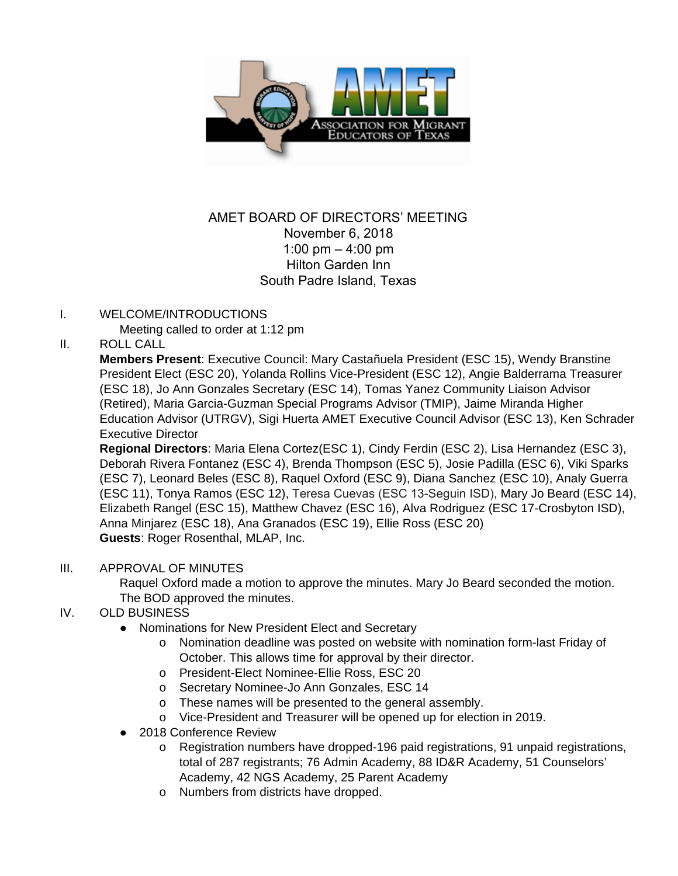

# AMET BOARD OF DIRECTORS' MEETING November 6, 2018 1:00 pm – 4:00 pm Hilton Garden Inn South Padre Island, Texas

### I. WELCOME/INTRODUCTIONS

Meeting called to order at 1:12 pm

## II. ROLL CALL

**Members Present**: Executive Council: Mary Castañuela President (ESC 15), Wendy Branstine President Elect (ESC 20), Yolanda Rollins Vice-President (ESC 12), Angie Balderrama Treasurer (ESC 18), Jo Ann Gonzales Secretary (ESC 14), Tomas Yanez Community Liaison Advisor (Retired), Maria Garcia-Guzman Special Programs Advisor (TMIP), Jaime Miranda Higher Education Advisor (UTRGV), Sigi Huerta AMET Executive Council Advisor (ESC 13), Ken Schrader Executive Director

**Regional Directors**: Maria Elena Cortez(ESC 1), Cindy Ferdin (ESC 2), Lisa Hernandez (ESC 3), Deborah Rivera Fontanez (ESC 4), Brenda Thompson (ESC 5), Josie Padilla (ESC 6), Viki Sparks (ESC 7), Leonard Beles (ESC 8), Raquel Oxford (ESC 9), Diana Sanchez (ESC 10), Analy Guerra (ESC 11), Tonya Ramos (ESC 12), Teresa Cuevas (ESC 13-Seguin ISD), Mary Jo Beard (ESC 14), Elizabeth Rangel (ESC 15), Matthew Chavez (ESC 16), Alva Rodriguez (ESC 17-Crosbyton ISD), Anna Minjarez (ESC 18), Ana Granados (ESC 19), Ellie Ross (ESC 20) **Guests**: Roger Rosenthal, MLAP, Inc.

#### III. APPROVAL OF MINUTES

Raquel Oxford made a motion to approve the minutes. Mary Jo Beard seconded the motion. The BOD approved the minutes.

## IV. OLD BUSINESS

- Nominations for New President Elect and Secretary
	- o Nomination deadline was posted on website with nomination form-last Friday of October. This allows time for approval by their director.
	- o President-Elect Nominee-Ellie Ross, ESC 20
	- o Secretary Nominee-Jo Ann Gonzales, ESC 14
	- o These names will be presented to the general assembly.
	- o Vice-President and Treasurer will be opened up for election in 2019.
- 2018 Conference Review
	- o Registration numbers have dropped-196 paid registrations, 91 unpaid registrations, total of 287 registrants; 76 Admin Academy, 88 ID&R Academy, 51 Counselors' Academy, 42 NGS Academy, 25 Parent Academy
	- o Numbers from districts have dropped.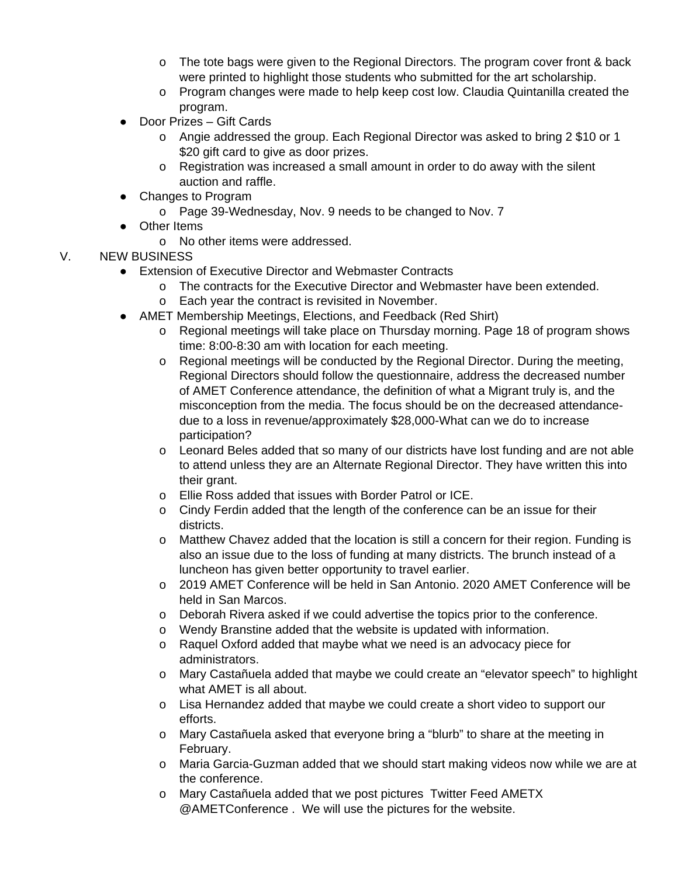- o The tote bags were given to the Regional Directors. The program cover front & back were printed to highlight those students who submitted for the art scholarship.
- o Program changes were made to help keep cost low. Claudia Quintanilla created the program.
- Door Prizes Gift Cards
	- o Angie addressed the group. Each Regional Director was asked to bring 2 \$10 or 1 \$20 gift card to give as door prizes.
	- o Registration was increased a small amount in order to do away with the silent auction and raffle.
- Changes to Program
	- o Page 39-Wednesday, Nov. 9 needs to be changed to Nov. 7
- Other Items
	- o No other items were addressed.

## V. NEW BUSINESS

- Extension of Executive Director and Webmaster Contracts
	- o The contracts for the Executive Director and Webmaster have been extended.
	- o Each year the contract is revisited in November.
- AMET Membership Meetings, Elections, and Feedback (Red Shirt)
	- o Regional meetings will take place on Thursday morning. Page 18 of program shows time: 8:00-8:30 am with location for each meeting.
	- o Regional meetings will be conducted by the Regional Director. During the meeting, Regional Directors should follow the questionnaire, address the decreased number of AMET Conference attendance, the definition of what a Migrant truly is, and the misconception from the media. The focus should be on the decreased attendancedue to a loss in revenue/approximately \$28,000-What can we do to increase participation?
	- o Leonard Beles added that so many of our districts have lost funding and are not able to attend unless they are an Alternate Regional Director. They have written this into their grant.
	- o Ellie Ross added that issues with Border Patrol or ICE.
	- o Cindy Ferdin added that the length of the conference can be an issue for their districts.
	- o Matthew Chavez added that the location is still a concern for their region. Funding is also an issue due to the loss of funding at many districts. The brunch instead of a luncheon has given better opportunity to travel earlier.
	- o 2019 AMET Conference will be held in San Antonio. 2020 AMET Conference will be held in San Marcos.
	- o Deborah Rivera asked if we could advertise the topics prior to the conference.
	- o Wendy Branstine added that the website is updated with information.
	- o Raquel Oxford added that maybe what we need is an advocacy piece for administrators.
	- o Mary Castañuela added that maybe we could create an "elevator speech" to highlight what AMET is all about.
	- o Lisa Hernandez added that maybe we could create a short video to support our efforts.
	- o Mary Castañuela asked that everyone bring a "blurb" to share at the meeting in February.
	- o Maria Garcia-Guzman added that we should start making videos now while we are at the conference.
	- o Mary Castañuela added that we post pictures Twitter Feed AMETX @AMETConference . We will use the pictures for the website.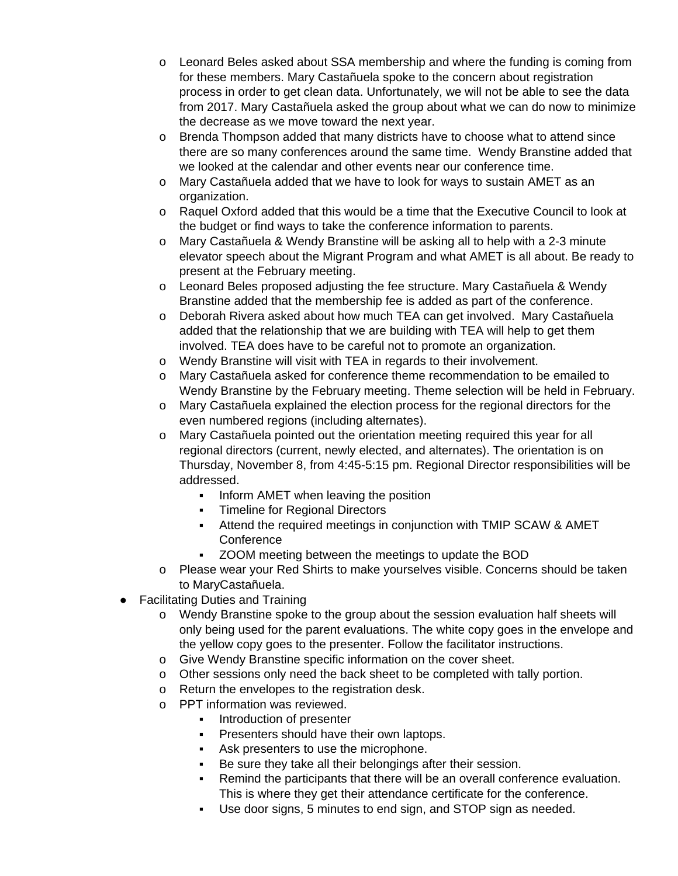- o Leonard Beles asked about SSA membership and where the funding is coming from for these members. Mary Castañuela spoke to the concern about registration process in order to get clean data. Unfortunately, we will not be able to see the data from 2017. Mary Castañuela asked the group about what we can do now to minimize the decrease as we move toward the next year.
- o Brenda Thompson added that many districts have to choose what to attend since there are so many conferences around the same time. Wendy Branstine added that we looked at the calendar and other events near our conference time.
- o Mary Castañuela added that we have to look for ways to sustain AMET as an organization.
- o Raquel Oxford added that this would be a time that the Executive Council to look at the budget or find ways to take the conference information to parents.
- o Mary Castañuela & Wendy Branstine will be asking all to help with a 2-3 minute elevator speech about the Migrant Program and what AMET is all about. Be ready to present at the February meeting.
- o Leonard Beles proposed adjusting the fee structure. Mary Castañuela & Wendy Branstine added that the membership fee is added as part of the conference.
- o Deborah Rivera asked about how much TEA can get involved. Mary Castañuela added that the relationship that we are building with TEA will help to get them involved. TEA does have to be careful not to promote an organization.
- o Wendy Branstine will visit with TEA in regards to their involvement.
- o Mary Castañuela asked for conference theme recommendation to be emailed to Wendy Branstine by the February meeting. Theme selection will be held in February.
- o Mary Castañuela explained the election process for the regional directors for the even numbered regions (including alternates).
- o Mary Castañuela pointed out the orientation meeting required this year for all regional directors (current, newly elected, and alternates). The orientation is on Thursday, November 8, from 4:45-5:15 pm. Regional Director responsibilities will be addressed.
	- **Inform AMET when leaving the position**
	- **Timeline for Regional Directors**
	- **EXECTED HEATTER IN ART IS CARGED THE FIRM OF THE THE THAT THE THAT IS CAMED FIRM THE THAT THE THAT THE TH Conference**
	- ZOOM meeting between the meetings to update the BOD
- o Please wear your Red Shirts to make yourselves visible. Concerns should be taken to MaryCastañuela.
- **Facilitating Duties and Training** 
	- o Wendy Branstine spoke to the group about the session evaluation half sheets will only being used for the parent evaluations. The white copy goes in the envelope and the yellow copy goes to the presenter. Follow the facilitator instructions.
	- o Give Wendy Branstine specific information on the cover sheet.
	- o Other sessions only need the back sheet to be completed with tally portion.
	- o Return the envelopes to the registration desk.
	- o PPT information was reviewed.
		- **•** Introduction of presenter
		- **Presenters should have their own laptops.**
		- Ask presenters to use the microphone.
		- Be sure they take all their belongings after their session.
		- Remind the participants that there will be an overall conference evaluation. This is where they get their attendance certificate for the conference.
		- Use door signs, 5 minutes to end sign, and STOP sign as needed.